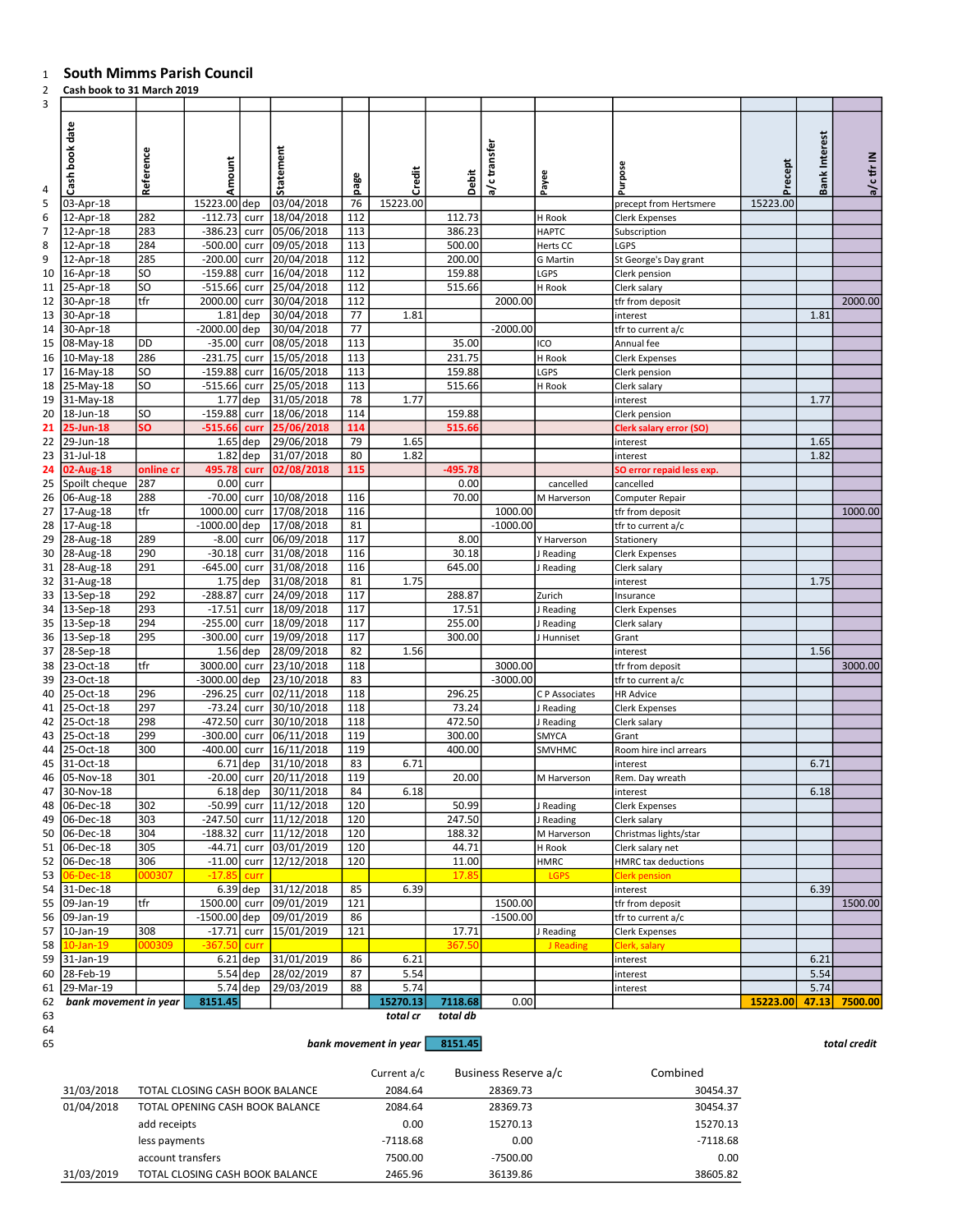## South Mimms Parish Council

## Cash book to 31 March 2019

| 3        | cash book to 31 maren 2015   |            |                           |             |                                 |           |          |           |              |                        |                                        |                        |                      |            |
|----------|------------------------------|------------|---------------------------|-------------|---------------------------------|-----------|----------|-----------|--------------|------------------------|----------------------------------------|------------------------|----------------------|------------|
| 4        | Cash book date               | Reference  | Amount                    |             | Statement                       | page      | Credit   | Debit     | a/c transfer | Payee                  | urpose                                 | Precept                | <b>Bank Interest</b> | a/c tfr IN |
| 5        | 03-Apr-18                    |            | 15223.00 dep              |             | 03/04/2018                      | 76        | 15223.00 |           |              |                        | precept from Hertsmere                 | 15223.00               |                      |            |
| 6        | 12-Apr-18                    | 282        | $-112.73$                 | curr        | 18/04/2018                      | 112       |          | 112.73    |              | H Rook                 | Clerk Expenses                         |                        |                      |            |
|          | 12-Apr-18                    | 283        | $-386.23$                 |             | curr   05/06/2018               | 113       |          | 386.23    |              | <b>HAPTC</b>           | Subscription                           |                        |                      |            |
| 8        | 12-Apr-18                    | 284        | $-500.00$                 | curr        | 09/05/2018                      | 113       |          | 500.00    |              | Herts CC               | LGPS                                   |                        |                      |            |
| 9        | 12-Apr-18                    | 285        |                           |             | -200.00 curr 20/04/2018         | 112       |          | 200.00    |              | <b>G</b> Martin        | St George's Day grant                  |                        |                      |            |
| 10       | 16-Apr-18                    | SO         | $-159.88$                 | curr        | 16/04/2018                      | 112       |          | 159.88    |              | LGPS                   | Clerk pension                          |                        |                      |            |
| 11       | 25-Apr-18                    | SO         | $-515.66$ curr            |             | 25/04/2018                      | 112       |          | 515.66    |              | H Rook                 | Clerk salary                           |                        |                      |            |
| 12       | 30-Apr-18                    | tfr        | 2000.00 curr              |             | 30/04/2018                      | 112       |          |           | 2000.00      |                        | tfr from deposit                       |                        |                      | 2000.00    |
| 13       | 30-Apr-18                    |            | $1.81$ dep                |             | 30/04/2018                      | 77        | 1.81     |           |              |                        | interest                               |                        | 1.81                 |            |
| 14       | 30-Apr-18                    |            | -2000.00 dep              |             | 30/04/2018                      | 77        |          |           | $-2000.00$   |                        | tfr to current a/c                     |                        |                      |            |
|          | 15 08-May-18                 | DD         | $-35.00$                  |             | curr   08/05/2018               | 113       |          | 35.00     |              | ICO                    | Annual fee                             |                        |                      |            |
| 16       | 10-May-18                    | 286        | $-231.75$                 | curr        | 15/05/2018                      | 113       |          | 231.75    |              | H Rook                 | Clerk Expenses                         |                        |                      |            |
| 17       | 16-May-18                    | SO)        |                           |             | -159.88 curr 16/05/2018         | 113       |          | 159.88    |              | LGPS                   | Clerk pension                          |                        |                      |            |
| 18       | 25-May-18                    | <b>SO</b>  | $-515.66$                 | curr        | 25/05/2018                      | 113       |          | 515.66    |              | H Rook                 | Clerk salary                           |                        |                      |            |
|          | 19 31-May-18                 |            | $1.77$ dep                |             | 31/05/2018                      | 78        | 1.77     |           |              |                        | interest                               |                        | 1.77                 |            |
| 20       | 18-Jun-18                    | SO.        | $-159.88$                 | curr        | 18/06/2018                      | 114       |          | 159.88    |              |                        | Clerk pension                          |                        |                      |            |
| 21       | 25-Jun-18                    | <b>SO</b>  | $-515.66$                 | <b>curr</b> | 25/06/2018                      | 114       |          | 515.66    |              |                        | Clerk salary error (SO)                |                        |                      |            |
| 22       | 29-Jun-18                    |            | $1.65$ dep                |             | 29/06/2018                      | 79        | 1.65     |           |              |                        | interest                               |                        | 1.65                 |            |
| 23       | 31-Jul-18                    |            | $1.82$ dep                |             | 31/07/2018                      | 80        | 1.82     |           |              |                        | interest                               |                        | 1.82                 |            |
| 24       | 02-Aug-18                    | online cr  | 495.78                    | curr        | 02/08/2018                      | 115       |          | $-495.78$ |              |                        | 60 error repaid less exp.              |                        |                      |            |
| 25       | Spoilt cheque                | 287        | 0.00                      | curr        |                                 |           |          | 0.00      |              | cancelled              | cancelled                              |                        |                      |            |
| 26       | 06-Aug-18                    | 288        | $-70.00$                  | curr        | 10/08/2018                      | 116       |          | 70.00     |              | M Harverson            | Computer Repair                        |                        |                      |            |
| 27       | 17-Aug-18                    | tfr        | 1000.00                   |             | curr   17/08/2018               | 116       |          |           | 1000.00      |                        | tfr from deposit                       |                        |                      | 1000.00    |
| 28<br>29 | 17-Aug-18<br>28-Aug-18       |            | $-1000.00$ dep<br>$-8.00$ |             | 17/08/2018                      | 81<br>117 |          | 8.00      | $-1000.00$   |                        | tfr to current a/c                     |                        |                      |            |
| 30       | 28-Aug-18                    | 289<br>290 | $-30.18$                  | curr        | curr   06/09/2018<br>31/08/2018 | 116       |          | 30.18     |              | Y Harverson            | Stationery                             |                        |                      |            |
| 31       | 28-Aug-18                    | 291        | $-645.00$                 | curr        | 31/08/2018                      | 116       |          | 645.00    |              | J Reading<br>J Reading | Clerk Expenses<br>Clerk salary         |                        |                      |            |
| 32       | 31-Aug-18                    |            | $1.75$ dep                |             | 31/08/2018                      | 81        | 1.75     |           |              |                        | interest                               |                        | 1.75                 |            |
| 33       | 13-Sep-18                    | 292        |                           |             | -288.87 curr 24/09/2018         | 117       |          | 288.87    |              | Zurich                 | nsurance                               |                        |                      |            |
| 34       | 13-Sep-18                    | 293        | $-17.51$                  | curr        | 18/09/2018                      | 117       |          | 17.51     |              | J Reading              | Clerk Expenses                         |                        |                      |            |
|          | 35 3-Sep-18                  | 294        | $-255.00$                 |             | curr   18/09/2018               | 117       |          | 255.00    |              | J Reading              | Clerk salary                           |                        |                      |            |
| 36       | 13-Sep-18                    | 295        | $-300.00$                 | curr        | 19/09/2018                      | 117       |          | 300.00    |              | J Hunniset             | Grant                                  |                        |                      |            |
| 37       | 28-Sep-18                    |            | $1.56$ dep                |             | 28/09/2018                      | 82        | 1.56     |           |              |                        | interest                               |                        | 1.56                 |            |
| 38       | $\sqrt{23-0ct-18}$           | tfr        | 3000.00                   | curr        | 23/10/2018                      | 118       |          |           | 3000.00      |                        | tfr from deposit                       |                        |                      | 3000.00    |
| 39       | 23-Oct-18                    |            | -3000.00 dep              |             | 23/10/2018                      | 83        |          |           | $-3000.00$   |                        | tfr to current a/c                     |                        |                      |            |
| 40       | 25-Oct-18                    | 296        | $-296.25$                 |             | curr 02/11/2018                 | 118       |          | 296.25    |              | C P Associates         | HR Advice                              |                        |                      |            |
| 41       | 25-Oct-18                    | 297        |                           |             | -73.24 curr 30/10/2018          | 118       |          | 73.24     |              | J Reading              | Clerk Expenses                         |                        |                      |            |
| 42       | 25-Oct-18                    | 298        | -472.50 curr              |             | 30/10/2018                      | 118       |          | 472.50    |              | J Reading              | Clerk salary                           |                        |                      |            |
| 43       | 25-Oct-18                    | 299        |                           |             | $-300.00$ curr $ 06/11/2018$    | 119       |          | 300.00    |              | SMYCA                  | Grant                                  |                        |                      |            |
| 44       | 25-Oct-18                    | 300        | $-400.00$                 | curr        | 16/11/2018                      | 119       |          | 400.00    |              | SMVHMC                 | Room hire incl arrears                 |                        |                      |            |
| 45       | 31-Oct-18                    |            | $6.71$ dep                |             | 31/10/2018                      | 83        | 6.71     |           |              |                        | interest                               |                        | 6.71                 |            |
| 46       | 05-Nov-18                    | 301        |                           |             | -20.00 curr 20/11/2018          | 119       |          | 20.00     |              | M Harverson            | Rem. Day wreath                        |                        |                      |            |
|          | 47 30-Nov-18                 |            |                           |             | 6.18 dep 30/11/2018             | 84        | 6.18     |           |              |                        | interest                               |                        | 6.18                 |            |
|          | 48 06-Dec-18                 | 302        |                           |             | $-50.99$ curr $11/12/2018$      | 120       |          | 50.99     |              | J Reading              | Clerk Expenses                         |                        |                      |            |
|          | 49 06-Dec-18                 | 303        |                           |             | $-247.50$ curr $11/12/2018$     | 120       |          | 247.50    |              | J Reading              | Clerk salary                           |                        |                      |            |
|          | 50 06-Dec-18                 | 304        |                           |             | -188.32 curr 11/12/2018         | 120       |          | 188.32    |              | M Harverson            | Christmas lights/star                  |                        |                      |            |
|          | 51 06-Dec-18                 | 305        |                           |             | $-44.71$ curr $03/01/2019$      | 120       |          | 44.71     |              | H Rook                 | Clerk salary net                       |                        |                      |            |
|          | 52 06-Dec-18                 | 306        |                           |             | $-11.00$ curr $12/12/2018$      | 120       |          | 11.00     |              | HMRC                   | HMRC tax deductions                    |                        |                      |            |
|          | 53 06-Dec-18                 | 000307     | $-17.85$                  | curr        | 6.39 dep 31/12/2018             |           |          | 17.85     |              | <b>LGPS</b>            | Clerk pension                          |                        |                      |            |
|          | 54 31-Dec-18<br>55 09-Jan-19 | tfr        |                           |             | 1500.00 curr 09/01/2019         | 85<br>121 | 6.39     |           | 1500.00      |                        | interest                               |                        | 6.39                 | 1500.00    |
|          | 56 09-Jan-19                 |            |                           |             | $-1500.00$ dep 09/01/2019       | 86        |          |           | $-1500.00$   |                        | tfr from deposit<br>tfr to current a/c |                        |                      |            |
|          | 57 10-Jan-19                 | 308        |                           |             | $-17.71$ curr 15/01/2019        | 121       |          | 17.71     |              | J Reading              | <b>Clerk Expenses</b>                  |                        |                      |            |
|          | 58 10-Jan-19                 | 000309     | $-367.50$                 | curr        |                                 |           |          | 367.50    |              | J Reading              | Clerk, salary                          |                        |                      |            |
|          | 59 31-Jan-19                 |            |                           |             | 6.21 dep $ 31/01/2019$          | 86        | 6.21     |           |              |                        | interest                               |                        | 6.21                 |            |
|          | 60 28-Feb-19                 |            |                           |             | 5.54 dep 28/02/2019             | 87        | 5.54     |           |              |                        | interest                               |                        | 5.54                 |            |
|          | 61 29-Mar-19                 |            |                           |             | 5.74 dep 29/03/2019             | 88        | 5.74     |           |              |                        | interest                               |                        | 5.74                 |            |
|          | 62 bank movement in year     |            | 8151.45                   |             |                                 |           | 15270.13 | 7118.68   | 0.00         |                        |                                        | 15223.00 47.13 7500.00 |                      |            |
| 63       |                              |            |                           |             |                                 |           | total cr | total db  |              |                        |                                        |                        |                      |            |
| 64       |                              |            |                           |             |                                 |           |          |           |              |                        |                                        |                        |                      |            |
|          |                              |            |                           |             |                                 |           |          |           |              |                        |                                        |                        |                      |            |

| -- | bank movement in year | 8151.45 | $\cdots$     |
|----|-----------------------|---------|--------------|
| ັ  |                       |         | total credit |

|            |                                 | Current a/c | Business Reserve a/c | Combined   |
|------------|---------------------------------|-------------|----------------------|------------|
| 31/03/2018 | TOTAL CLOSING CASH BOOK BALANCE | 2084.64     | 28369.73             | 30454.37   |
| 01/04/2018 | TOTAL OPENING CASH BOOK BALANCE | 2084.64     | 28369.73             | 30454.37   |
|            | add receipts                    | 0.00        | 15270.13             | 15270.13   |
|            | less payments                   | $-7118.68$  | 0.00                 | $-7118.68$ |
|            | account transfers               | 7500.00     | $-7500.00$           | 0.00       |
| 31/03/2019 | TOTAL CLOSING CASH BOOK BALANCE | 2465.96     | 36139.86             | 38605.82   |